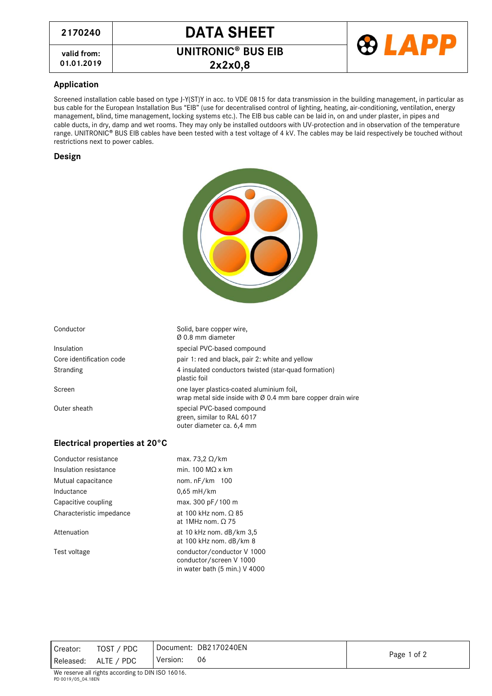**valid from:**

**01.01.2019 2x2x0,8**



**UNITRONIC<sup>®</sup> BUS EIB** 



## **Application**

Screened installation cable based on type J-Y(ST)Y in acc. to VDE 0815 for data transmission in the building management, in particular as bus cable for the European Installation Bus "EIB" (use for decentralised control of lighting, heating, air-conditioning, ventilation, energy management, blind, time management, locking systems etc.). The EIB bus cable can be laid in, on and under plaster, in pipes and cable ducts, in dry, damp and wet rooms. They may only be installed outdoors with UV-protection and in observation of the temperature range. UNITRONIC<sup>®</sup> BUS EIB cables have been tested with a test voltage of 4 kV. The cables may be laid respectively be touched without restrictions next to power cables.

## **Design**

| Conductor                     | Solid, bare copper wire,<br>Ø 0.8 mm diameter                                                            |
|-------------------------------|----------------------------------------------------------------------------------------------------------|
| Insulation                    | special PVC-based compound                                                                               |
| Core identification code      | pair 1: red and black, pair 2: white and yellow                                                          |
| Stranding                     | 4 insulated conductors twisted (star-quad formation)<br>plastic foil                                     |
| Screen                        | one layer plastics-coated aluminium foil,<br>wrap metal side inside with Ø 0.4 mm bare copper drain wire |
| Outer sheath                  | special PVC-based compound<br>green, similar to RAL 6017<br>outer diameter ca. 6,4 mm                    |
| Electrical properties at 20°C |                                                                                                          |
| Conductor resistance          | max. 73,2 $\Omega$ /km                                                                                   |
| Insulation resistance         | min. $100 \text{ M}\Omega$ x km                                                                          |
| Mutual capacitance            | nom. nF/km 100                                                                                           |
| Inductance                    | 0,65 mH/km                                                                                               |
| Capacitive coupling           | max. 300 pF/100 m                                                                                        |
| Characteristic impedance      | at 100 kHz nom. $\Omega$ 85<br>at 1MHz nom. $\Omega$ 75                                                  |

Attenuation at 10 kHz nom. dB/km 3,5

Test voltage conductor/conductor V 1000

Creator: TOST / PDC Released: ALTE / PDC Version: 06

at 100 kHz nom. dB/km 8

conductor/screen V 1000 in water bath (5 min.) V 4000